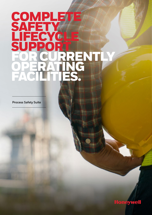# **COMPLETE SAFETY LIFECYCLE** SUPPORT FOR CURRENTLY OPERATING FACILITIES.

Process Safety Suite **Process Safety Suite**

SAFETY OF THE COMPANY

LIFECTURE CONTROL

OPERATION CONTINUES

FOR CURRENTLE

SUPPORT OF THE OWNER.

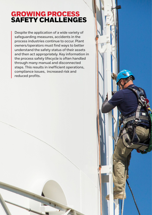## GROWING PROCESS SAFETY CHALLENGES

**Despite the application of a wide variety of safeguarding measures, accidents in the process industries continue to occur. Plant owners/operators must find ways to better understand the safety status of their assets and then act appropriately. Key information in the process safety lifecycle is often handled through many manual and disconnected steps. This results in inefficient operations, compliance issues, increased risk and reduced profits.** 

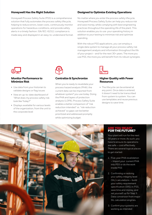#### **Honeywell Has the Right Solution**

Honeywell Process Safety Suite (PSS) is a comprehensive solution that fully automates the process safety lifecycle, helping to reduce errors, lower costs, continuously monitor operations for hazardous conditions, and provide safety alerts in a timely fashion. ISA/IEC-61511 compliance is made easy and displayed in an easy-to-understand format.

#### **Designed to Optimize Existing Operations**

No matter where you enter the process safety lifecycle, Honeywell Process Safety Suite can help you reduce risk and save money, while complying with best engineering practices throughout the operating life of the plant. This solution enables you to use your operating history in addition to your testing to minimize risk and optimize spending.

With the robust PSS applications, you can employ a single data system to manage all your process safety risk management analysis and information throughout the life of your project – and for the next 30+ years. The more you use PSS, the more you will benefit from its robust synergies.



#### **Monitor Performance to Minimize Risk**

- Use data from your historian to validate designs or flag issues
- View an up-to-date dashboard of "What does my process safety risk look like Today?"
- Displays available for various levels of the organization, from the unit to the corporate level



#### **Centralize & Synchronize**

When you're ready to revalidate your process hazard analysis (PHA), the current data can be imported from whatever system\* you use today. Doing the PHA and layers of protection analysis (LOPA), Process Safety Suite enables a better comparison of "risk reduction intended" vs. "risk reduction achieved" so gaps can be better prioritized and addressed promptly while optimizing budget.



#### **Higher Quality with Fewer Resources**

• The lifecycle can be entered at any point. Once data is entered, it doesn't need to be transcribed from system to system. You can use templates and reuse previous designs to save time.



#### ARE YOU READY FOR THE FUTURE?

Your plant will run for the next 30 years or more. As such, you have to ensure its operations are safe — cost effectively. There are several logical places to get started:

- 1. Five-year PHA revalidation – Import your current PHA into PSS or do the work inside PSS
- 2. Confirming or redoing your safety integrity level (SIL) calculations – build your safety requirement specification (SRS) in PSS, save time and money, and set yourself up for Step 3. Data conversion from major SIL calculation engines.
- 3. Confirm your systems are working as intended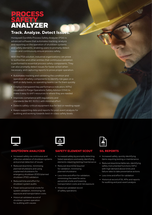### PROCESS SAFETY. ANALYZER

### **Track. Analyze. Detect Issues.**

Honeywell DynAMo Process Safety Analyzer (PSA) is advanced software that automates tracking, analysis and reporting on the operation of shutdown systems and safety elements, enabling users to promptly detect issues and continuously ensure process safety.

With the PSA solution, industrial organizations can prove to authorities and other entities that continuous validation is performed to essential process safety components. They can also promptly detect issues for faster action when necessary, and capturing reports to prove proper operation.

- Automates tracking and validating the condition and operation of safety components to identify risk gaps on a shift or daily basis, so operating teams can fix them quickly
- Employs transparent key performance indicators (KPIs) visualized in Forge Operations Safety Advisor (OSA) to make it easy to shif t resources to where they are needed
- Improves compliance with regulations and standards like IEC 61511 with minimal effort
- Detects safety-critical equipment due for test or needing repair
- Keeps supporting data and reports for post-event analysis for auditing and working towards best-in-class safety levels



#### SHUTDOWN ANALYZER

- Increased safety via continuous and effective validation of shutdown systems and prompt detection of issues
- Reduced downtime, minimizing planned shutdowns and using unplanned shutdowns for emergency shutdown (ESD)/planned shutdown (PSD) validation
- Reduced time and effort for shutdown system audits
- Fewer extra personnel onsite for system validation, minimizing risk exposure and transportation costs
- Historical validated record of shutdown system operation for auditing with causes



#### SAFETY ELEMENT SCOUT

- Increased safety by promptly detecting failed operations and easily identifying elements requiring testing/maintenance
- Reduced downtime required for validation, minimizing planned shutdowns
- Less time and effort for validation, minimizing the need for extra personnel onsite and lowering transportation costs and risk exposure
- Historical validated record of safety operations



#### SIL REPORTS

- Increased safety, quickly identifying items requiring testing or maintenance
- Reduced downtime/deferrals, identifying safety instrumented functions (SIFs) with high demand above limits and failure rates to take preventative actions
- Less time and effort for validation
- Historical record of SIL KPIs and reports for auditing and post-event analysis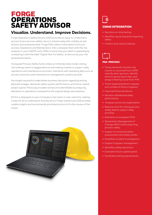## FORGE OPERATIONS SAFETY ADVISOR

### **Visualize. Understand. Improve Decisions.**

Forge Operations Safety Advisor (OSA) provides an easy-to-understand picture of your process safety risk as it stands today with visibility at site, division and enterprise level. Forge OSA collects information from your process Operations and Maintenance, then compares them with the risk analyses in your HAZOP and LOPAs to show how your plant is operating by comparing it with the ideal "Digital Twin for Safety" as laid out by your risk assessment teams.

Honeywell Process Safety Suite utilizes an inherited data model, linking risk rankings down to tagged devices and making it easier to suppor t daily operations and maintenance activities. Interfaces with operating data such as process historians and maintenance management systems provide

the insight required to make better business decisions regarding testing, planned outages, demands safety system performance, and future capital project spend. Previously invisible risk become identifiable by analyzing deviations in operations compared to the original design assumptions.

All this is displayed on your Company's risk matrix in near-real time, making it easy for all to understand. And like all our Forge-based tools OSA provides usable insights and recommends prioritized actions to fix the causes of the issues.





#### CMMS INTEGRATION

- Monitors on-time testing
- Identifies upcoming tests impacting safety
- Collects and classif y failures



#### PSA- PROCESS

- Tracks demands (monitor trip counts vs. assumed from LOPA , classify when spurious, identify when to ignore due to test, and assign initiating cause from PHA
- Tracks bypassing (time in bypass and number of times in bypass)
- Improved financial returns
- Monitors dashboard safety performance
- Analyzes across the organization
- Reduces time for mining process safety data to suppor t daily activities
- Maintains an evergreen PHA
- Streamlines Management of Change (MOC) while impacting process safety
- Suppor ts functional safety assessments and safety audits
- Simplifies incident investigations
- Suppor ts bypass management
- Identifies safety bad actors
- Evaluates future capital spend
- Facilitates testing requirements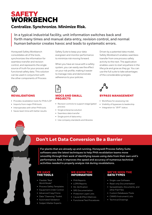## SAFETY WORKBENCH

### **Centralize. Synchronize. Minimize Risk.**

**In a typical industrial facility, unit information switches back and forth many times and manual data entry, revision control, and normal human behavior creates havoc and leads to systematic errors.**

Honeywell Safety Workbench consolidates all of the tools, synchronizes the information for seamless transfer and revision control, and represents the single source of truth for your process and functional safety data. This solution can be used in conjunction with the other components of Process

Safety Suite to keep your data evergreen and monitor performance to minimize risk moving forward.

When you have an issue with a safety system, you can easily see the effect on your risk profile, making it easier to manage risks and demonstrate adherence to your policies.



#### **VALIDATIONS**

- Provides revalidation tools for PHA/LOP
- Imports from major PHA tools
- Interoperates with other PHA tools
- Saves team time with better results



#### MOCS AND SMALL PROJECTS

- Revision controls to support stage/gated process
- Single enterprise solution
- Seamless data transfer
- Single point of data entry
- Use company standards and libraries

Driven by a patented data model, Safety Workbench enables seamless transfer from one process safety activity to the next. The application enables users to start anywhere in the lifecycle and grow as they go. You can use the full suite to take advantages of the considerable synergies.



#### BYPASS MANAGEMENT

- Workflows for assessing risk
- Visibility of bypasses to leadership
- Integration to ".BYP" status

### **Don't Let Data Conversion Be a Barrier**

**For plants that are already up and running, Honeywell Process Safety Suite software uses the latest techniques to help PHA revalidation teams move smoothly through their work of identifying issues using data from their own unit's performance. And, it improves the speed and accuracy of numerous technical activities needed to properly analyze risk during revalidations.**

#### WE HAVE THE TOOLS

- Flexible "Real World Model"
- Process Safety Templates
- Equipment Under Control
- Advanced Copy/Clone
- Data "Cleansing" Toolkit
- Automated Validation
- Subject Matter Experts

#### WE KNOW THE INFORMATION

- PHA Reports
- LOPA Reports
- SIL Verification
- SRS Documentation
- 
- Protection Layer Lists
- Cause & Effect Matrices
- Functional Test Procedures

#### WE'VE DATA TYPES

- Single-user Software
- Read-only Documentation
- Spreadsheets, Documents, and other Flat Files
- Custom Databases/Tools
- CMMS/Instrument Lists
- Technical Drawings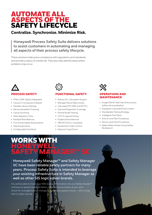### AUTOMATE ALL ASPECTS OF THE SAFETY LIFECYCLE

### **Centralize. Synchronize. Minimize Risk.**

**Honeywell Process Safety Suite delivers solutions to assist customers in automating and managing all aspects of their process safety lifecycle.**

These solutions help prove compliance with regulations and standards, and provide a status of overall risk. They also help identify areas where problems may occur.

#### PROCESS SAFETY

- PHA/LOPA Tightly Integrated
- Cause or Consequence Based
- Flexible Library Settings
- Recommendation Tracking
- Cause Summing
- Data Migration Tools
- Multiple Risk Matrices
- Functional Safety Assessments
- Gap Assignments
- Configurable Checklists



#### **CTIONAL SAFETY**

- Robust SIL Calculation Engine
- Manage Failure Rate Library
- Calculate PFD, RRF and MTTFs
- Test and Diagnostic Coverage
- Partial Stroke Testing
- CCF/3-layered Voting
- Graphical Architecture
- SRS IEC 61511 Compliant
- Equipment Under Control
- Advance Copy/Clone

## **ERATIONS AND** MAINTENANCE

- Forge OSA for near real time process safety risk visualization
- Evergreen Cause & Ef fects matrix
- Standardize Testing Strategy
- Intelligent Test Plans
- End-to-end Test Procedures
- Device-level Test Procedures
- Make Safety Simple Using Safety Workbench

## **ORKS WITH** HONEYWELL, **NNAGER™ SC**

**Honeywell Safety Manager™ and Safety Manager SC have been reliable safety partners for many years. Process Safety Suite is intended to leverage your existing infrastructure in Safety Manager as well as other SIS logic solver brands.**

You will be able to move your SRS design information into our Safety Builder<sup>™</sup> software to speed implementation, take out transcription errors, and check for management of change or temporary bypass issues — all in a way that is cyber-secure.